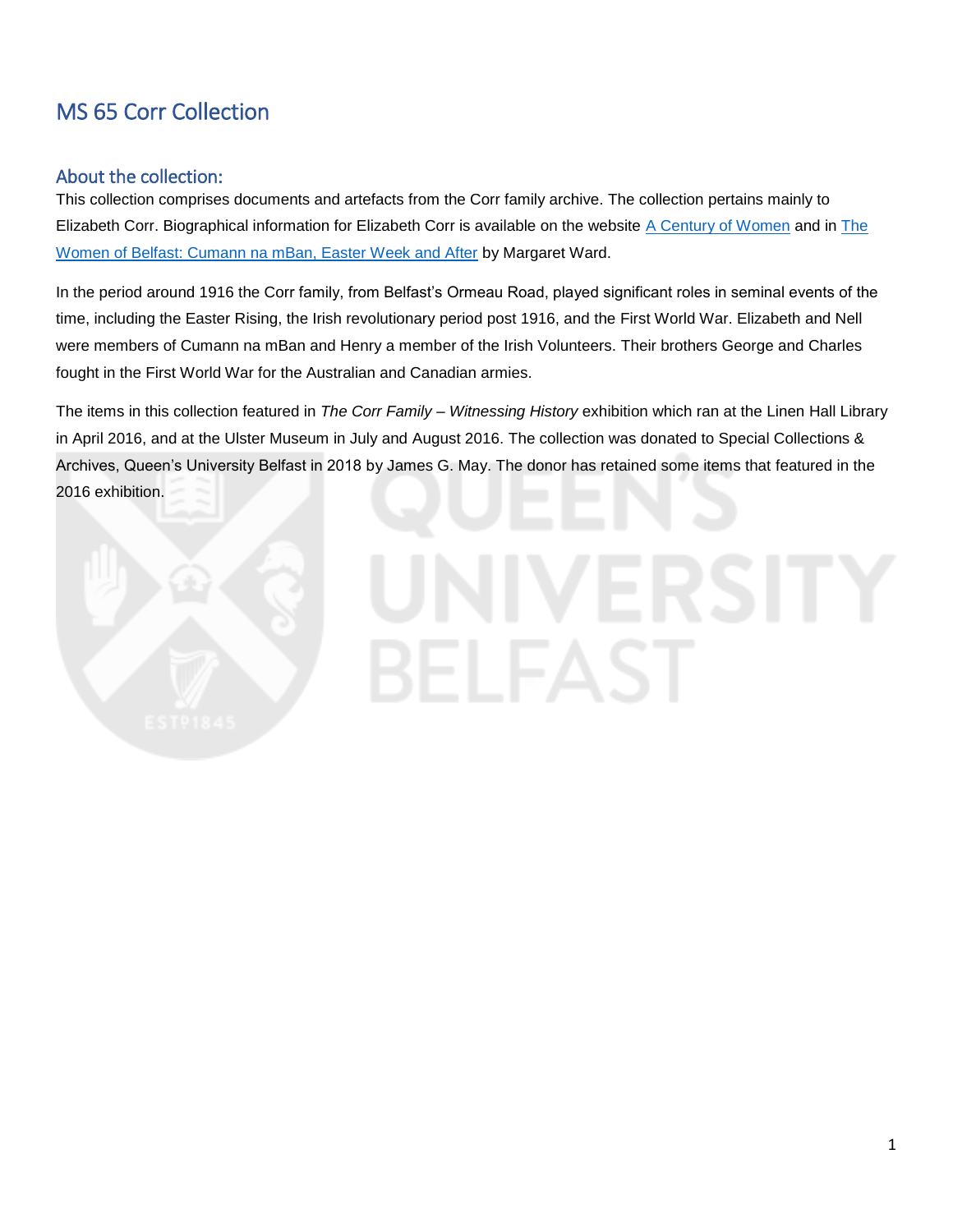# MS 65 Corr Collection

## About the collection:

This collection comprises documents and artefacts from the Corr family archive. The collection pertains mainly to Elizabeth Corr. Biographical information for Elizabeth Corr is available on the website [A Century of Women](https://www.acenturyofwomen.com/elizabeth-corr/) and in [The](https://www.visitwestbelfast.com/wp-content/uploads/2017/07/belfast-women-low-res.pdf)  [Women of Belfast: Cumann na mBan, Easter Week and After](https://www.visitwestbelfast.com/wp-content/uploads/2017/07/belfast-women-low-res.pdf) by Margaret Ward.

In the period around 1916 the Corr family, from Belfast's Ormeau Road, played significant roles in seminal events of the time, including the Easter Rising, the Irish revolutionary period post 1916, and the First World War. Elizabeth and Nell were members of Cumann na mBan and Henry a member of the Irish Volunteers. Their brothers George and Charles fought in the First World War for the Australian and Canadian armies.

The items in this collection featured in *The Corr Family – Witnessing History* exhibition which ran at the Linen Hall Library in April 2016, and at the Ulster Museum in July and August 2016. The collection was donated to Special Collections & Archives, Queen's University Belfast in 2018 by James G. May. The donor has retained some items that featured in the 2016 exhibition.

# 31 E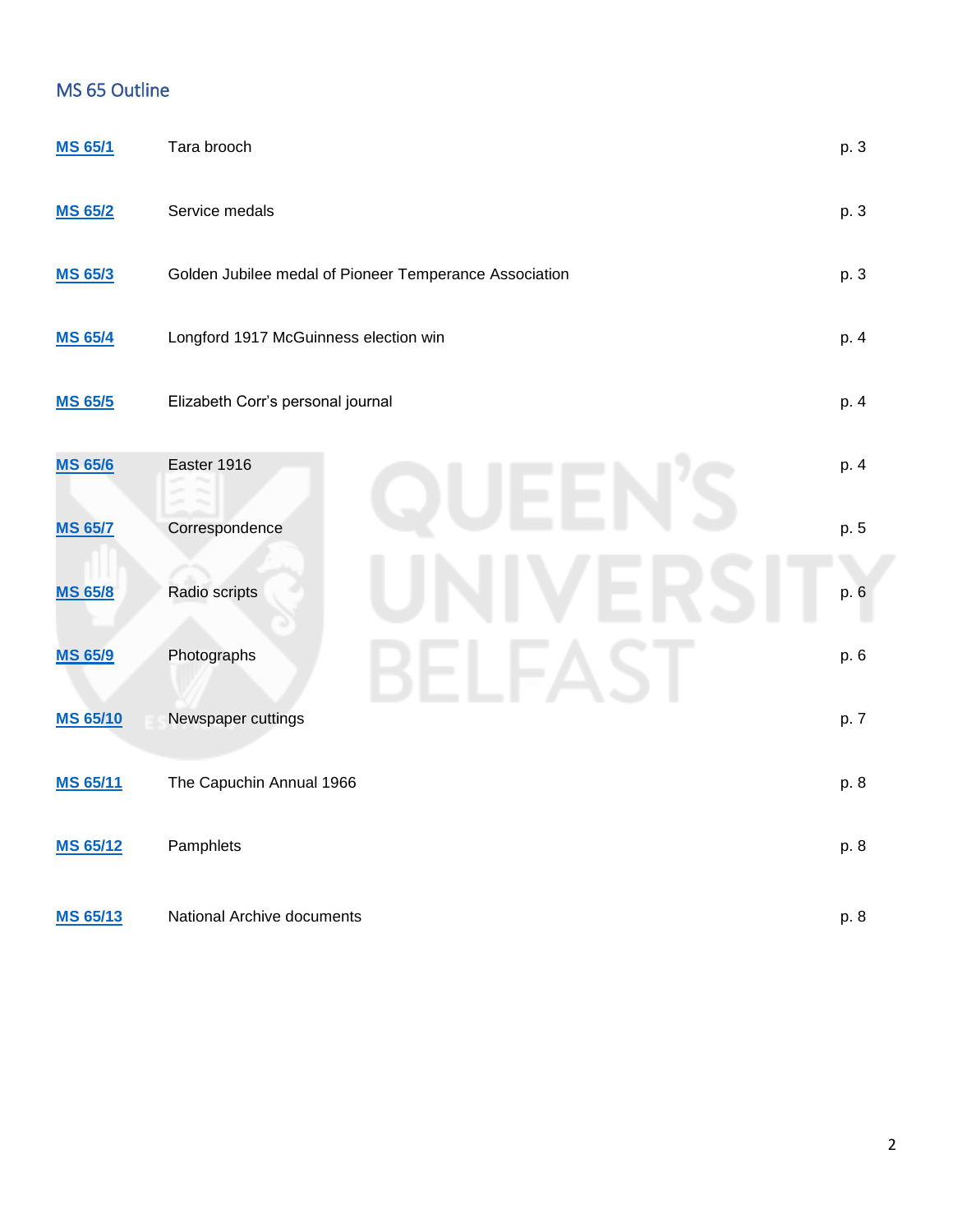# MS 65 Outline

| <b>MS 65/1</b>  | Tara brooch                                            | p. 3 |
|-----------------|--------------------------------------------------------|------|
| <b>MS 65/2</b>  | Service medals                                         | p. 3 |
| <b>MS 65/3</b>  | Golden Jubilee medal of Pioneer Temperance Association | p. 3 |
| <b>MS 65/4</b>  | Longford 1917 McGuinness election win                  | p. 4 |
| <b>MS 65/5</b>  | Elizabeth Corr's personal journal                      | p. 4 |
| <b>MS 65/6</b>  | Easter 1916                                            | p. 4 |
| <b>MS 65/7</b>  | Correspondence                                         | p. 5 |
| <b>MS 65/8</b>  | Radio scripts                                          | p. 6 |
| <b>MS 65/9</b>  | Photographs                                            | p. 6 |
| <b>MS 65/10</b> | Newspaper cuttings                                     | p. 7 |
| <b>MS 65/11</b> | The Capuchin Annual 1966                               | p. 8 |
| <b>MS 65/12</b> | Pamphlets                                              | p. 8 |
| <b>MS 65/13</b> | National Archive documents                             | p. 8 |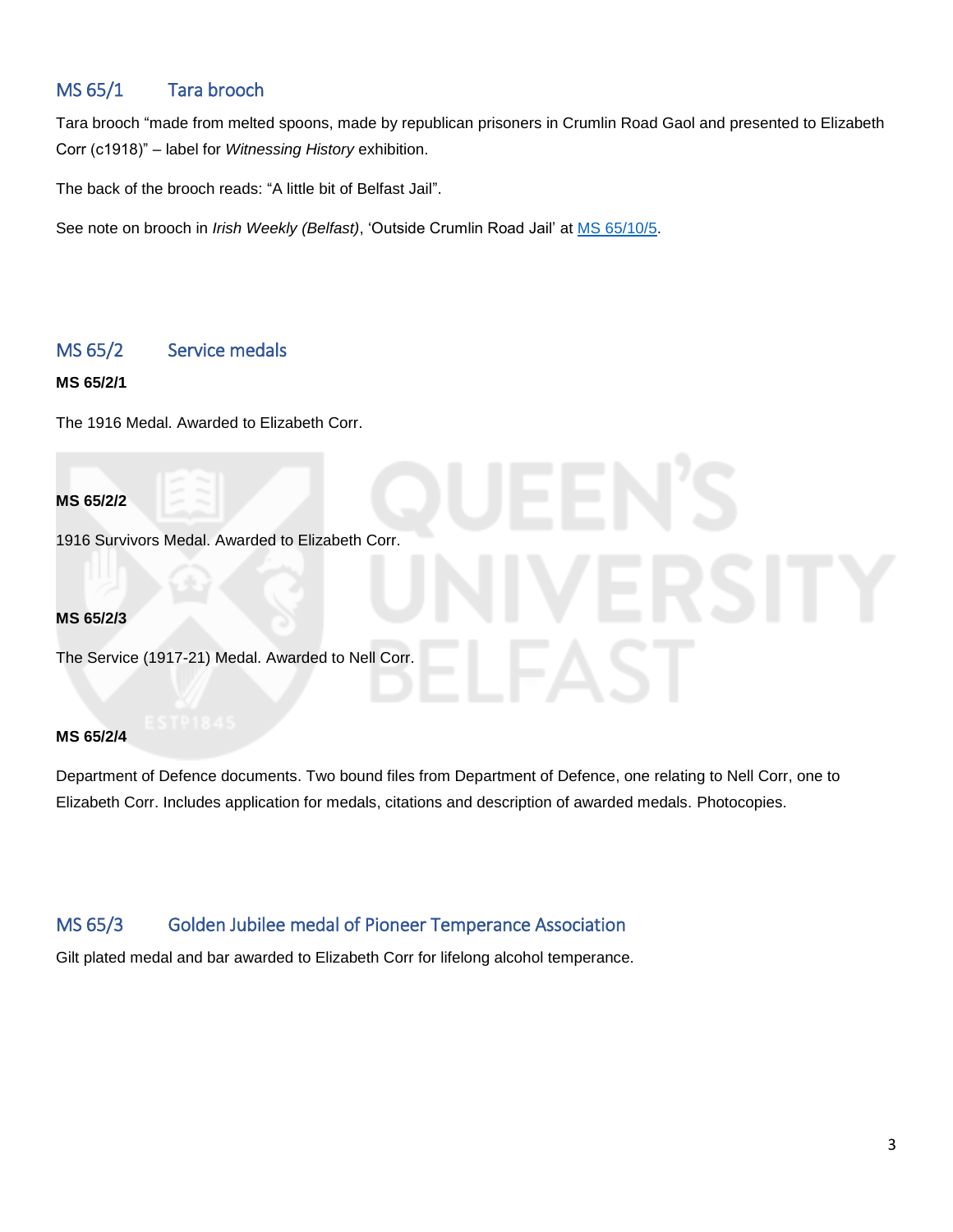# <span id="page-2-0"></span>MS 65/1 Tara brooch

Tara brooch "made from melted spoons, made by republican prisoners in Crumlin Road Gaol and presented to Elizabeth Corr (c1918)" – label for *Witnessing History* exhibition.

The back of the brooch reads: "A little bit of Belfast Jail".

See note on brooch in *Irish Weekly (Belfast)*, 'Outside Crumlin Road Jail' at [MS 65/10/5.](#page-6-1)

# <span id="page-2-1"></span>MS 65/2 Service medals

**MS 65/2/1**

The 1916 Medal. Awarded to Elizabeth Corr.

**MS 65/2/2**

1916 Survivors Medal. Awarded to Elizabeth Corr.

**MS 65/2/3**

The Service (1917-21) Medal. Awarded to Nell Corr.

### **MS 65/2/4**

Department of Defence documents. Two bound files from Department of Defence, one relating to Nell Corr, one to Elizabeth Corr. Includes application for medals, citations and description of awarded medals. Photocopies.

# <span id="page-2-2"></span>MS 65/3 Golden Jubilee medal of Pioneer Temperance Association

Gilt plated medal and bar awarded to Elizabeth Corr for lifelong alcohol temperance.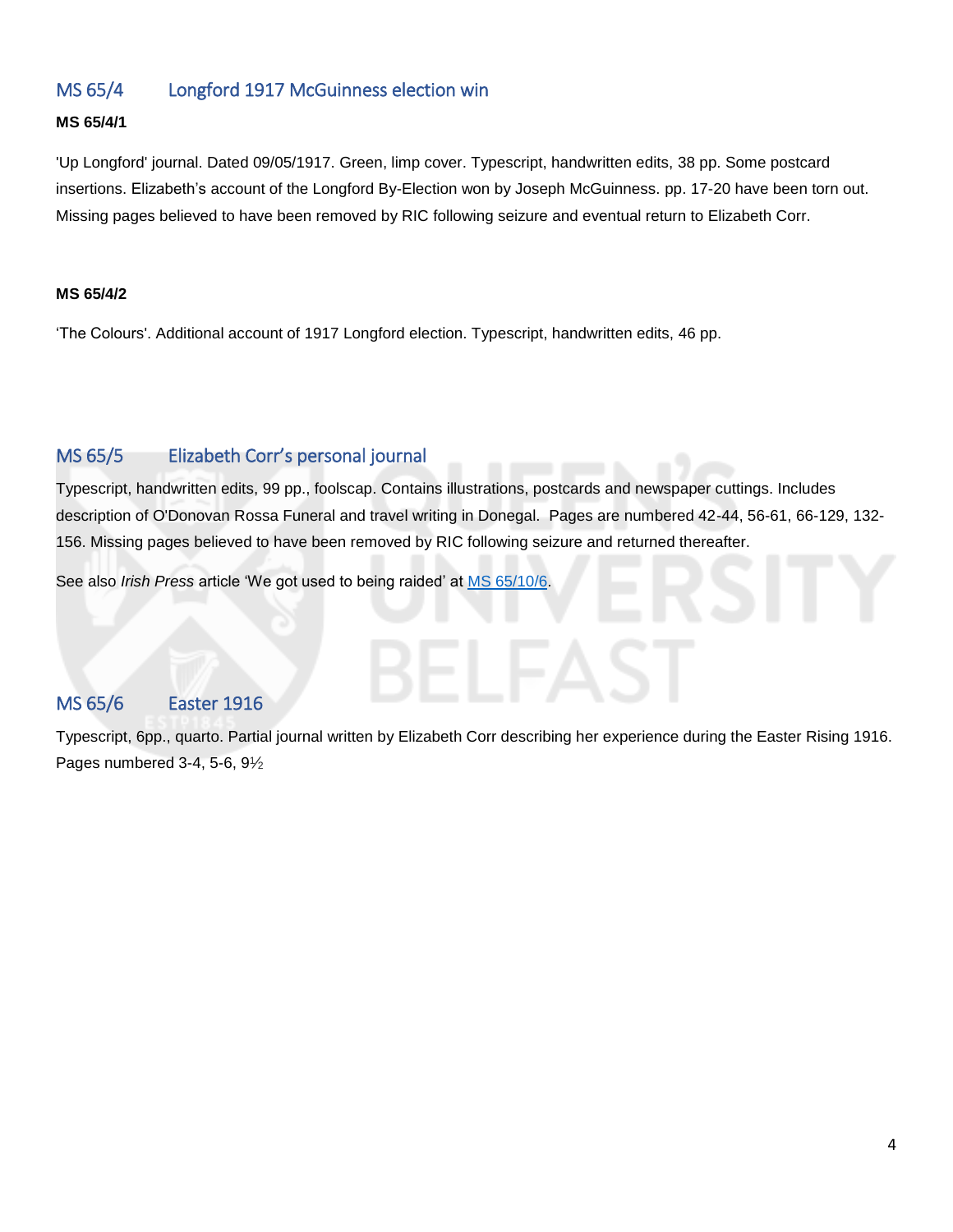# <span id="page-3-0"></span>MS 65/4 Longford 1917 McGuinness election win

### **MS 65/4/1**

'Up Longford' journal. Dated 09/05/1917. Green, limp cover. Typescript, handwritten edits, 38 pp. Some postcard insertions. Elizabeth's account of the Longford By-Election won by Joseph McGuinness. pp. 17-20 have been torn out. Missing pages believed to have been removed by RIC following seizure and eventual return to Elizabeth Corr.

### **MS 65/4/2**

'The Colours'. Additional account of 1917 Longford election. Typescript, handwritten edits, 46 pp.

# <span id="page-3-1"></span>MS 65/5 Elizabeth Corr's personal journal

Typescript, handwritten edits, 99 pp., foolscap. Contains illustrations, postcards and newspaper cuttings. Includes description of O'Donovan Rossa Funeral and travel writing in Donegal. Pages are numbered 42-44, 56-61, 66-129, 132- 156. Missing pages believed to have been removed by RIC following seizure and returned thereafter.

See also *Irish Press* article 'We got used to being raided' at [MS 65/10/6.](#page-6-2)

# <span id="page-3-2"></span>MS 65/6 Easter 1916

Typescript, 6pp., quarto. Partial journal written by Elizabeth Corr describing her experience during the Easter Rising 1916. Pages numbered 3-4, 5-6, 91/2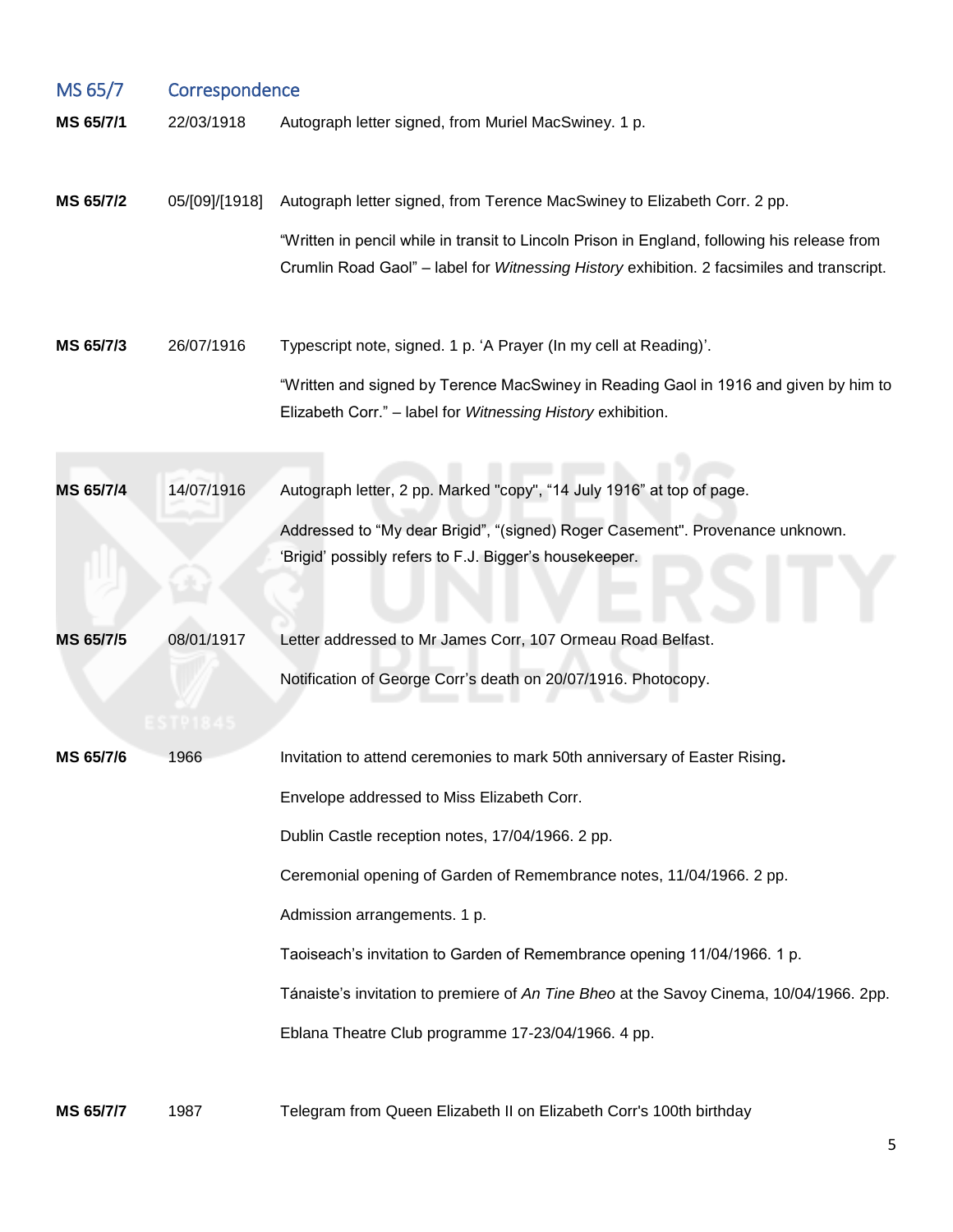<span id="page-4-0"></span>

| MS 65/7   | Correspondence |                                                                                                                                                                                            |  |
|-----------|----------------|--------------------------------------------------------------------------------------------------------------------------------------------------------------------------------------------|--|
| MS 65/7/1 | 22/03/1918     | Autograph letter signed, from Muriel MacSwiney. 1 p.                                                                                                                                       |  |
| MS 65/7/2 | 05/[09]/[1918] | Autograph letter signed, from Terence MacSwiney to Elizabeth Corr. 2 pp.                                                                                                                   |  |
|           |                | "Written in pencil while in transit to Lincoln Prison in England, following his release from<br>Crumlin Road Gaol" - label for Witnessing History exhibition. 2 facsimiles and transcript. |  |
| MS 65/7/3 | 26/07/1916     | Typescript note, signed. 1 p. 'A Prayer (In my cell at Reading)'.                                                                                                                          |  |
|           |                | "Written and signed by Terence MacSwiney in Reading Gaol in 1916 and given by him to<br>Elizabeth Corr." - label for Witnessing History exhibition.                                        |  |
| MS 65/7/4 | 14/07/1916     | Autograph letter, 2 pp. Marked "copy", "14 July 1916" at top of page.                                                                                                                      |  |
|           |                | Addressed to "My dear Brigid", "(signed) Roger Casement". Provenance unknown.<br>'Brigid' possibly refers to F.J. Bigger's housekeeper.                                                    |  |
| MS 65/7/5 | 08/01/1917     | Letter addressed to Mr James Corr, 107 Ormeau Road Belfast.                                                                                                                                |  |
|           | :STP184        | Notification of George Corr's death on 20/07/1916. Photocopy.                                                                                                                              |  |
| MS 65/7/6 | 1966           | Invitation to attend ceremonies to mark 50th anniversary of Easter Rising.                                                                                                                 |  |
|           |                | Envelope addressed to Miss Elizabeth Corr.                                                                                                                                                 |  |
|           |                | Dublin Castle reception notes, 17/04/1966. 2 pp.                                                                                                                                           |  |
|           |                | Ceremonial opening of Garden of Remembrance notes, 11/04/1966. 2 pp.                                                                                                                       |  |
|           |                | Admission arrangements. 1 p.                                                                                                                                                               |  |
|           |                | Taoiseach's invitation to Garden of Remembrance opening 11/04/1966. 1 p.                                                                                                                   |  |
|           |                | Tánaiste's invitation to premiere of An Tine Bheo at the Savoy Cinema, 10/04/1966. 2pp.                                                                                                    |  |
|           |                | Eblana Theatre Club programme 17-23/04/1966. 4 pp.                                                                                                                                         |  |
| MS 65/7/7 | 1987           | Telegram from Queen Elizabeth II on Elizabeth Corr's 100th birthday                                                                                                                        |  |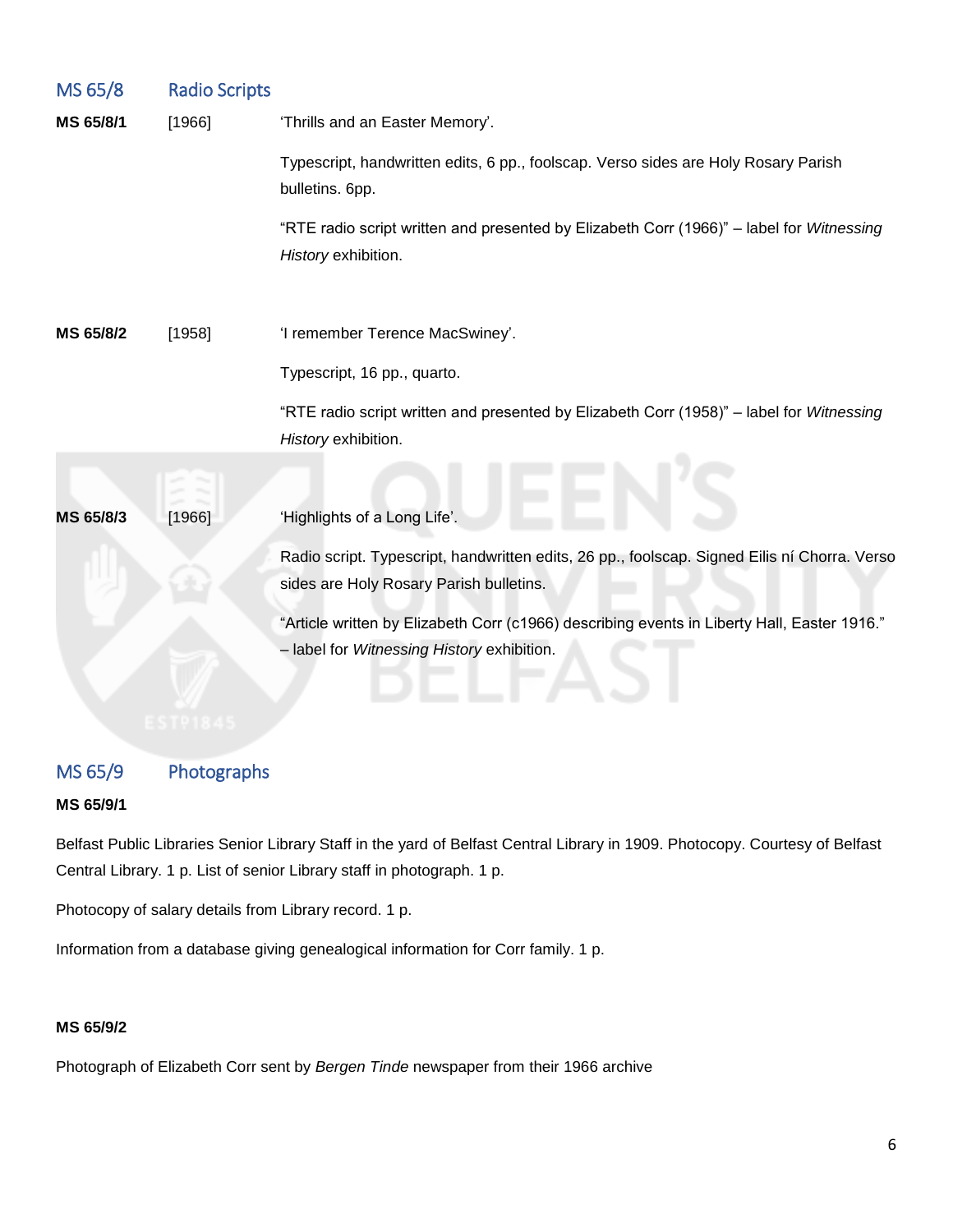<span id="page-5-0"></span>

| MS 65/8   | <b>Radio Scripts</b> |                                                                                                                                           |
|-----------|----------------------|-------------------------------------------------------------------------------------------------------------------------------------------|
| MS 65/8/1 | [1966]               | 'Thrills and an Easter Memory'.                                                                                                           |
|           |                      | Typescript, handwritten edits, 6 pp., foolscap. Verso sides are Holy Rosary Parish<br>bulletins. 6pp.                                     |
|           |                      | "RTE radio script written and presented by Elizabeth Corr (1966)" - label for Witnessing<br>History exhibition.                           |
| MS 65/8/2 | [1958]               | 'I remember Terence MacSwiney'.                                                                                                           |
|           |                      | Typescript, 16 pp., quarto.                                                                                                               |
|           |                      | "RTE radio script written and presented by Elizabeth Corr (1958)" - label for Witnessing<br>History exhibition.                           |
|           |                      |                                                                                                                                           |
| MS 65/8/3 | [1966]               | 'Highlights of a Long Life'.                                                                                                              |
|           |                      | Radio script. Typescript, handwritten edits, 26 pp., foolscap. Signed Eilis ní Chorra. Verso<br>sides are Holy Rosary Parish bulletins.   |
|           |                      | "Article written by Elizabeth Corr (c1966) describing events in Liberty Hall, Easter 1916."<br>- label for Witnessing History exhibition. |

# <span id="page-5-1"></span>MS 65/9 Photographs

### **MS 65/9/1**

Belfast Public Libraries Senior Library Staff in the yard of Belfast Central Library in 1909. Photocopy. Courtesy of Belfast Central Library. 1 p. List of senior Library staff in photograph. 1 p.

Photocopy of salary details from Library record. 1 p.

Information from a database giving genealogical information for Corr family. 1 p.

### **MS 65/9/2**

Photograph of Elizabeth Corr sent by *Bergen Tinde* newspaper from their 1966 archive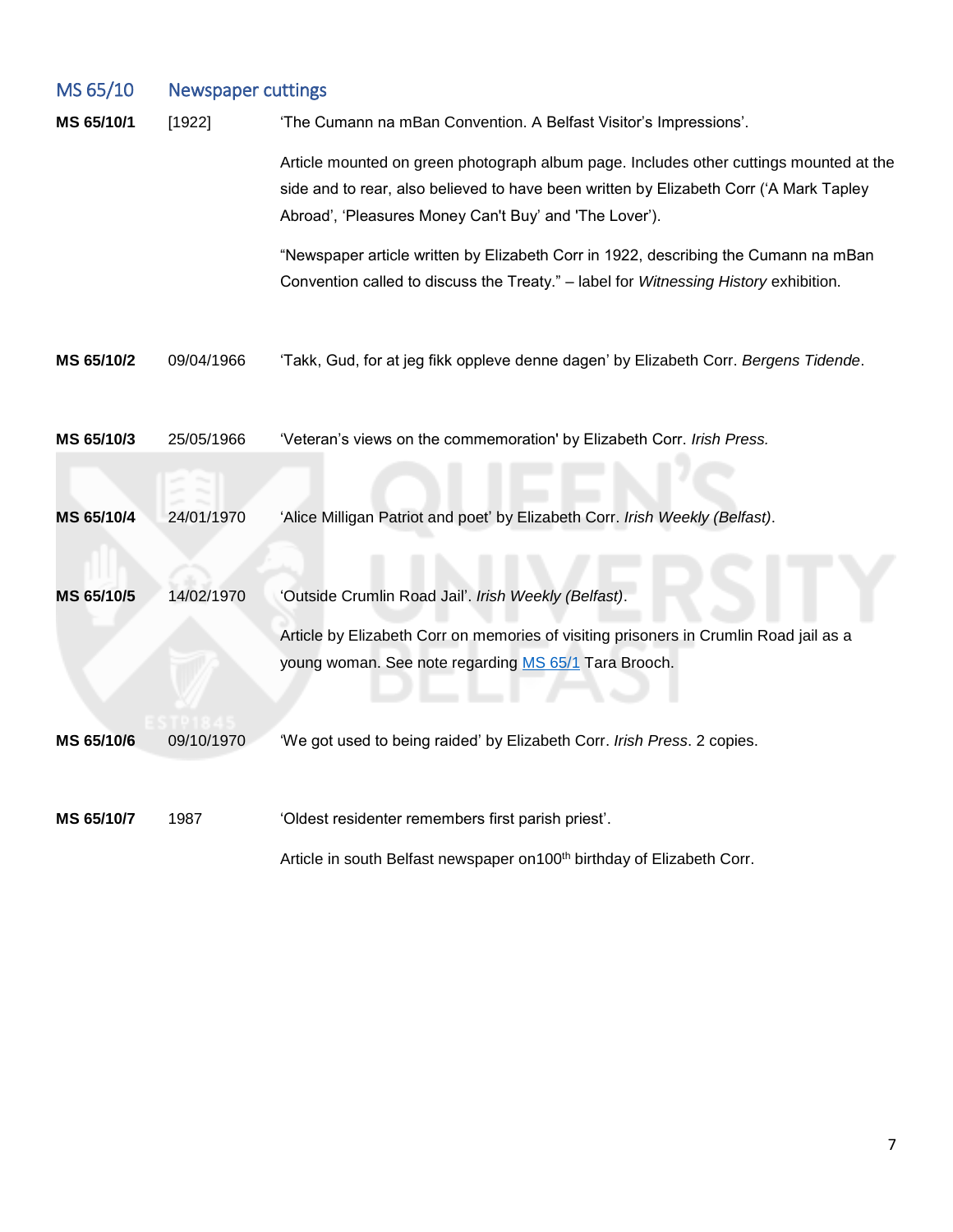<span id="page-6-2"></span><span id="page-6-1"></span><span id="page-6-0"></span>

| MS 65/10   | <b>Newspaper cuttings</b> |                                                                                                                                                                                                                                            |  |  |
|------------|---------------------------|--------------------------------------------------------------------------------------------------------------------------------------------------------------------------------------------------------------------------------------------|--|--|
| MS 65/10/1 | [1922]                    | 'The Cumann na mBan Convention. A Belfast Visitor's Impressions'.                                                                                                                                                                          |  |  |
|            |                           | Article mounted on green photograph album page. Includes other cuttings mounted at the<br>side and to rear, also believed to have been written by Elizabeth Corr ('A Mark Tapley<br>Abroad', 'Pleasures Money Can't Buy' and 'The Lover'). |  |  |
|            |                           | "Newspaper article written by Elizabeth Corr in 1922, describing the Cumann na mBan<br>Convention called to discuss the Treaty." - label for Witnessing History exhibition.                                                                |  |  |
| MS 65/10/2 | 09/04/1966                | 'Takk, Gud, for at jeg fikk oppleve denne dagen' by Elizabeth Corr. Bergens Tidende.                                                                                                                                                       |  |  |
| MS 65/10/3 | 25/05/1966                | 'Veteran's views on the commemoration' by Elizabeth Corr. Irish Press.                                                                                                                                                                     |  |  |
|            |                           |                                                                                                                                                                                                                                            |  |  |
| MS 65/10/4 | 24/01/1970                | 'Alice Milligan Patriot and poet' by Elizabeth Corr. Irish Weekly (Belfast).                                                                                                                                                               |  |  |
| MS 65/10/5 | 14/02/1970                | 'Outside Crumlin Road Jail'. Irish Weekly (Belfast).<br>Article by Elizabeth Corr on memories of visiting prisoners in Crumlin Road jail as a<br>young woman. See note regarding MS 65/1 Tara Brooch.                                      |  |  |
| MS 65/10/6 | 09/10/1970                | 'We got used to being raided' by Elizabeth Corr. Irish Press. 2 copies.                                                                                                                                                                    |  |  |
| MS 65/10/7 | 1987                      | 'Oldest residenter remembers first parish priest'.<br>Article in south Belfast newspaper on 100 <sup>th</sup> birthday of Elizabeth Corr.                                                                                                  |  |  |